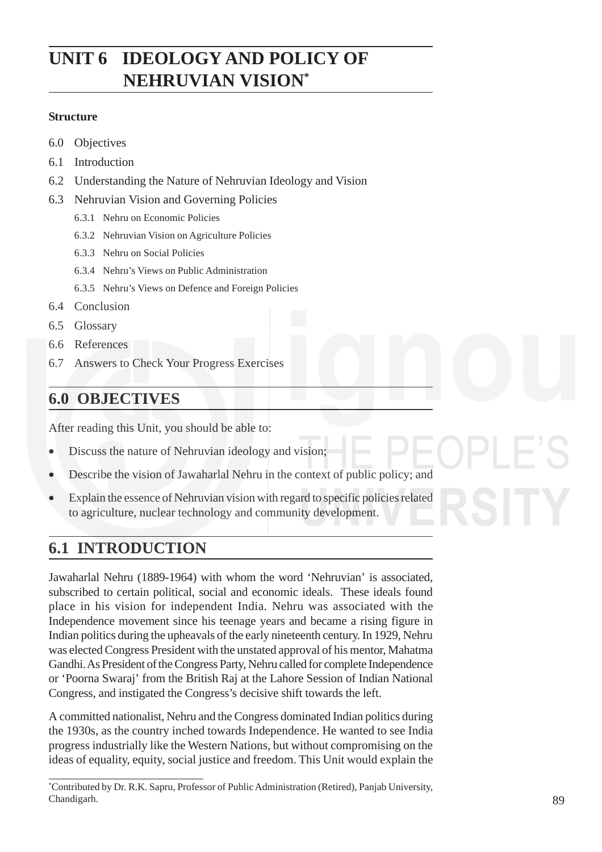# **UNIT 6 IDEOLOGY AND POLICY OF NEHRUVIAN VISION\***

### **Structure**

- 6.0 Objectives
- 6.1 Introduction
- 6.2 Understanding the Nature of Nehruvian Ideology and Vision
- 6.3 Nehruvian Vision and Governing Policies
	- 6.3.1 Nehru on Economic Policies
	- 6.3.2 Nehruvian Vision on Agriculture Policies
	- 6.3.3 Nehru on Social Policies
	- 6.3.4 Nehru's Views on Public Administration
	- 6.3.5 Nehru's Views on Defence and Foreign Policies
- 6.4 Conclusion
- 6.5 Glossary
- 6.6 References
- 6.7 Answers to Check Your Progress Exercises

# **6.0 OBJECTIVES**

After reading this Unit, you should be able to:

- Discuss the nature of Nehruvian ideology and vision;
- Describe the vision of Jawaharlal Nehru in the context of public policy; and
- Explain the essence of Nehruvian vision with regard to specific policies related to agriculture, nuclear technology and community development.

# **6.1 INTRODUCTION**

Jawaharlal Nehru (1889-1964) with whom the word 'Nehruvian' is associated, subscribed to certain political, social and economic ideals. These ideals found place in his vision for independent India. Nehru was associated with the Independence movement since his teenage years and became a rising figure in Indian politics during the upheavals of the early nineteenth century. In 1929, Nehru was elected Congress President with the unstated approval of his mentor, Mahatma Gandhi. As President of the Congress Party, Nehru called for complete Independence or 'Poorna Swaraj' from the British Raj at the Lahore Session of Indian National Congress, and instigated the Congress's decisive shift towards the left.

A committed nationalist, Nehru and the Congress dominated Indian politics during the 1930s, as the country inched towards Independence. He wanted to see India progress industrially like the Western Nations, but without compromising on the ideas of equality, equity, social justice and freedom. This Unit would explain the

<sup>\*</sup> Contributed by Dr. R.K. Sapru, Professor of Public Administration (Retired), Panjab University, Chandigarh.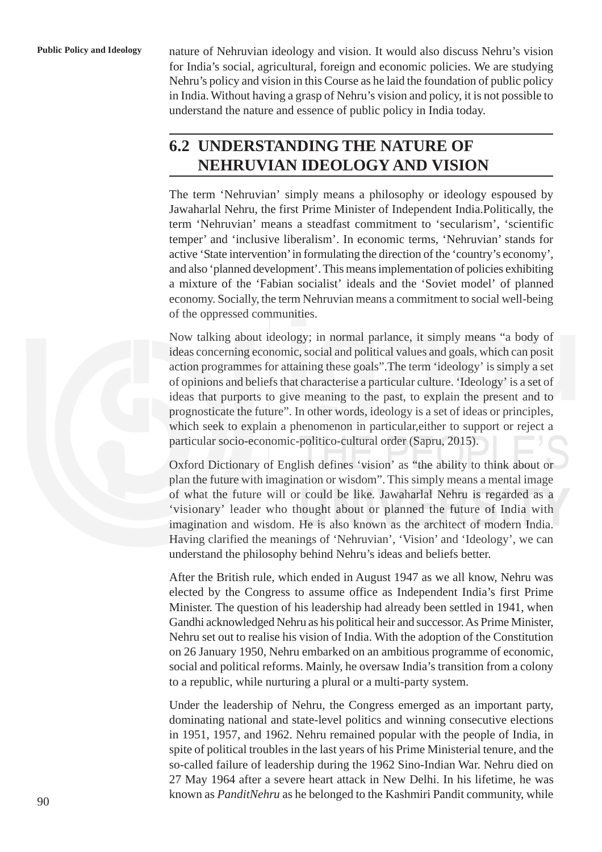**Public Policy and Ideology** nature of Nehruvian ideology and vision. It would also discuss Nehru's vision for India's social, agricultural, foreign and economic policies. We are studying Nehru's policy and vision in this Course as he laid the foundation of public policy in India. Without having a grasp of Nehru's vision and policy, it is not possible to understand the nature and essence of public policy in India today.

# **6.2 UNDERSTANDING THE NATURE OF NEHRUVIAN IDEOLOGY AND VISION**

The term 'Nehruvian' simply means a philosophy or ideology espoused by Jawaharlal Nehru, the first Prime Minister of Independent India.Politically, the term 'Nehruvian' means a steadfast commitment to 'secularism', 'scientific temper' and 'inclusive liberalism'. In economic terms, 'Nehruvian' stands for active 'State intervention' in formulating the direction of the 'country's economy', and also 'planned development'. This means implementation of policies exhibiting a mixture of the 'Fabian socialist' ideals and the 'Soviet model' of planned economy. Socially, the term Nehruvian means a commitment to social well-being of the oppressed communities.

Now talking about ideology; in normal parlance, it simply means "a body of ideas concerning economic, social and political values and goals, which can posit action programmes for attaining these goals".The term 'ideology' is simply a set of opinions and beliefs that characterise a particular culture. 'Ideology' is a set of ideas that purports to give meaning to the past, to explain the present and to prognosticate the future". In other words, ideology is a set of ideas or principles, which seek to explain a phenomenon in particular,either to support or reject a particular socio-economic-politico-cultural order (Sapru, 2015).

Oxford Dictionary of English defines 'vision' as "the ability to think about or plan the future with imagination or wisdom". This simply means a mental image of what the future will or could be like. Jawaharlal Nehru is regarded as a 'visionary' leader who thought about or planned the future of India with imagination and wisdom. He is also known as the architect of modern India. Having clarified the meanings of 'Nehruvian', 'Vision' and 'Ideology', we can understand the philosophy behind Nehru's ideas and beliefs better.

After the British rule, which ended in August 1947 as we all know, Nehru was elected by the Congress to assume office as Independent India's first Prime Minister. The question of his leadership had already been settled in 1941, when Gandhi acknowledged Nehru as his political heir and successor. As Prime Minister, Nehru set out to realise his vision of India. With the adoption of the Constitution on 26 January 1950, Nehru embarked on an ambitious programme of economic, social and political reforms. Mainly, he oversaw India's transition from a colony to a republic, while nurturing a plural or a multi-party system.

Under the leadership of Nehru, the Congress emerged as an important party, dominating national and state-level politics and winning consecutive elections in 1951, 1957, and 1962. Nehru remained popular with the people of India, in spite of political troubles in the last years of his Prime Ministerial tenure, and the so-called failure of leadership during the 1962 Sino-Indian War. Nehru died on 27 May 1964 after a severe heart attack in New Delhi. In his lifetime, he was known as *PanditNehru* as he belonged to the Kashmiri Pandit community, while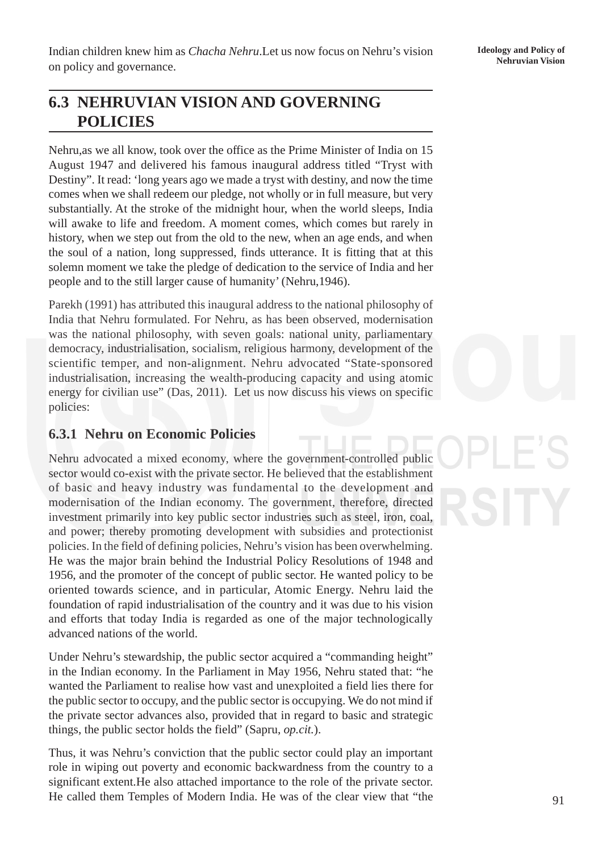# **6.3 NEHRUVIAN VISION AND GOVERNING POLICIES**

Nehru,as we all know, took over the office as the Prime Minister of India on 15 August 1947 and delivered his famous inaugural address titled "Tryst with Destiny". It read: 'long years ago we made a tryst with destiny, and now the time comes when we shall redeem our pledge, not wholly or in full measure, but very substantially. At the stroke of the midnight hour, when the world sleeps, India will awake to life and freedom. A moment comes, which comes but rarely in history, when we step out from the old to the new, when an age ends, and when the soul of a nation, long suppressed, finds utterance. It is fitting that at this solemn moment we take the pledge of dedication to the service of India and her people and to the still larger cause of humanity' (Nehru,1946).

Parekh (1991) has attributed this inaugural address to the national philosophy of India that Nehru formulated. For Nehru, as has been observed, modernisation was the national philosophy, with seven goals: national unity, parliamentary democracy, industrialisation, socialism, religious harmony, development of the scientific temper, and non-alignment. Nehru advocated "State-sponsored industrialisation, increasing the wealth-producing capacity and using atomic energy for civilian use" (Das, 2011). Let us now discuss his views on specific policies:

## **6.3.1 Nehru on Economic Policies**

Nehru advocated a mixed economy, where the government-controlled public sector would co-exist with the private sector. He believed that the establishment of basic and heavy industry was fundamental to the development and modernisation of the Indian economy. The government, therefore, directed investment primarily into key public sector industries such as steel, iron, coal, and power; thereby promoting development with subsidies and protectionist policies. In the field of defining policies, Nehru's vision has been overwhelming. He was the major brain behind the Industrial Policy Resolutions of 1948 and 1956, and the promoter of the concept of public sector. He wanted policy to be oriented towards science, and in particular, Atomic Energy. Nehru laid the foundation of rapid industrialisation of the country and it was due to his vision and efforts that today India is regarded as one of the major technologically advanced nations of the world.

Under Nehru's stewardship, the public sector acquired a "commanding height" in the Indian economy. In the Parliament in May 1956, Nehru stated that: "he wanted the Parliament to realise how vast and unexploited a field lies there for the public sector to occupy, and the public sector is occupying. We do not mind if the private sector advances also, provided that in regard to basic and strategic things, the public sector holds the field" (Sapru, *op.cit.*).

Thus, it was Nehru's conviction that the public sector could play an important role in wiping out poverty and economic backwardness from the country to a significant extent.He also attached importance to the role of the private sector. He called them Temples of Modern India. He was of the clear view that "the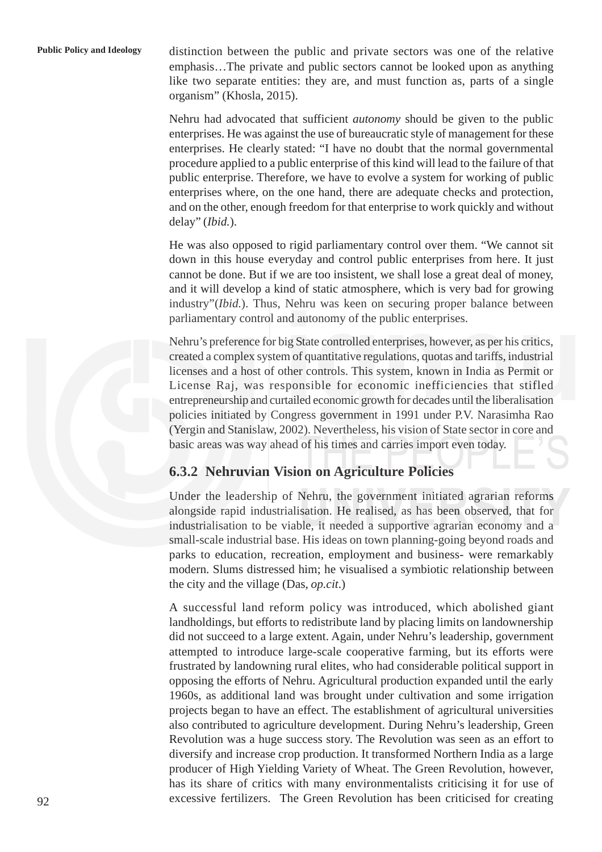**Public Policy and Ideology** distinction between the public and private sectors was one of the relative emphasis…The private and public sectors cannot be looked upon as anything like two separate entities: they are, and must function as, parts of a single organism" (Khosla, 2015).

> Nehru had advocated that sufficient *autonomy* should be given to the public enterprises. He was against the use of bureaucratic style of management for these enterprises. He clearly stated: "I have no doubt that the normal governmental procedure applied to a public enterprise of this kind will lead to the failure of that public enterprise. Therefore, we have to evolve a system for working of public enterprises where, on the one hand, there are adequate checks and protection, and on the other, enough freedom for that enterprise to work quickly and without delay" (*Ibid.*).

> He was also opposed to rigid parliamentary control over them. "We cannot sit down in this house everyday and control public enterprises from here. It just cannot be done. But if we are too insistent, we shall lose a great deal of money, and it will develop a kind of static atmosphere, which is very bad for growing industry"(*Ibid.*). Thus, Nehru was keen on securing proper balance between parliamentary control and autonomy of the public enterprises.

> Nehru's preference for big State controlled enterprises, however, as per his critics, created a complex system of quantitative regulations, quotas and tariffs, industrial licenses and a host of other controls. This system, known in India as Permit or License Raj, was responsible for economic inefficiencies that stifled entrepreneurship and curtailed economic growth for decades until the liberalisation policies initiated by Congress government in 1991 under P.V. Narasimha Rao (Yergin and Stanislaw, 2002). Nevertheless, his vision of State sector in core and basic areas was way ahead of his times and carries import even today.

### **6.3.2 Nehruvian Vision on Agriculture Policies**

Under the leadership of Nehru, the government initiated agrarian reforms alongside rapid industrialisation. He realised, as has been observed, that for industrialisation to be viable, it needed a supportive agrarian economy and a small-scale industrial base. His ideas on town planning-going beyond roads and parks to education, recreation, employment and business- were remarkably modern. Slums distressed him; he visualised a symbiotic relationship between the city and the village (Das, *op.cit*.)

A successful land reform policy was introduced, which abolished giant landholdings, but efforts to redistribute land by placing limits on landownership did not succeed to a large extent. Again, under Nehru's leadership, government attempted to introduce large-scale cooperative farming, but its efforts were frustrated by landowning rural elites, who had considerable political support in opposing the efforts of Nehru. Agricultural production expanded until the early 1960s, as additional land was brought under cultivation and some irrigation projects began to have an effect. The establishment of agricultural universities also contributed to agriculture development. During Nehru's leadership, Green Revolution was a huge success story. The Revolution was seen as an effort to diversify and increase crop production. It transformed Northern India as a large producer of High Yielding Variety of Wheat. The Green Revolution, however, has its share of critics with many environmentalists criticising it for use of excessive fertilizers. The Green Revolution has been criticised for creating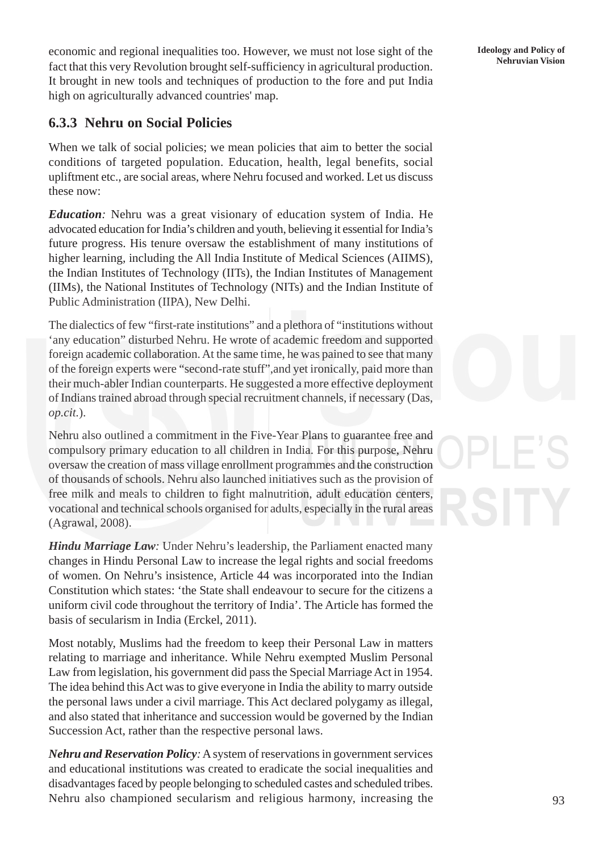economic and regional inequalities too. However, we must not lose sight of the **Heology and Policy of Seattlet this user:** Percelution brought self sufficiency in equivalently production. fact that this very Revolution brought self-sufficiency in agricultural production. It brought in new tools and techniques of production to the fore and put India high on agriculturally advanced countries' map.

### **6.3.3 Nehru on Social Policies**

When we talk of social policies; we mean policies that aim to better the social conditions of targeted population. Education, health, legal benefits, social upliftment etc., are social areas, where Nehru focused and worked. Let us discuss these now:

*Education:* Nehru was a great visionary of education system of India. He advocated education for India's children and youth, believing it essential for India's future progress. His tenure oversaw the establishment of many institutions of higher learning, including the All India Institute of Medical Sciences (AIIMS), the Indian Institutes of Technology (IITs), the Indian Institutes of Management (IIMs), the National Institutes of Technology (NITs) and the Indian Institute of Public Administration (IIPA), New Delhi.

The dialectics of few "first-rate institutions" and a plethora of "institutions without 'any education" disturbed Nehru. He wrote of academic freedom and supported foreign academic collaboration. At the same time, he was pained to see that many of the foreign experts were "second-rate stuff",and yet ironically, paid more than their much-abler Indian counterparts. He suggested a more effective deployment of Indians trained abroad through special recruitment channels, if necessary (Das, *op.cit.*).

Nehru also outlined a commitment in the Five-Year Plans to guarantee free and compulsory primary education to all children in India. For this purpose, Nehru oversaw the creation of mass village enrollment programmes and the construction of thousands of schools. Nehru also launched initiatives such as the provision of free milk and meals to children to fight malnutrition, adult education centers, vocational and technical schools organised for adults, especially in the rural areas (Agrawal, 2008).

*Hindu Marriage Law:* Under Nehru's leadership, the Parliament enacted many changes in Hindu Personal Law to increase the legal rights and social freedoms of women. On Nehru's insistence, Article 44 was incorporated into the Indian Constitution which states: 'the State shall endeavour to secure for the citizens a uniform civil code throughout the territory of India'. The Article has formed the basis of secularism in India (Erckel, 2011).

Most notably, Muslims had the freedom to keep their Personal Law in matters relating to marriage and inheritance. While Nehru exempted Muslim Personal Law from legislation, his government did pass the Special Marriage Act in 1954. The idea behind this Act was to give everyone in India the ability to marry outside the personal laws under a civil marriage. This Act declared polygamy as illegal, and also stated that inheritance and succession would be governed by the Indian Succession Act, rather than the respective personal laws.

*Nehru and Reservation Policy:* A system of reservations in government services and educational institutions was created to eradicate the social inequalities and disadvantages faced by people belonging to scheduled castes and scheduled tribes. Nehru also championed secularism and religious harmony, increasing the **Ideology and Policy of**

93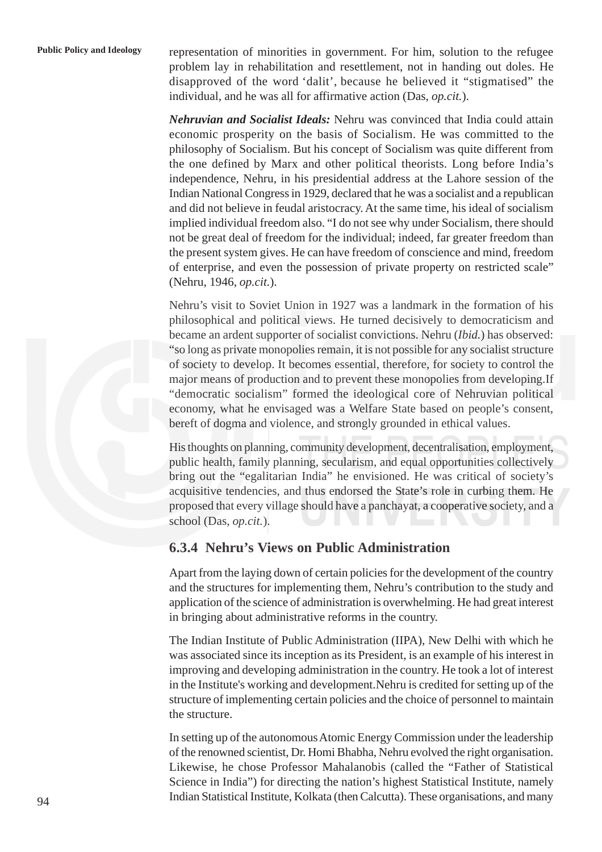**Public Policy and Ideology** representation of minorities in government. For him, solution to the refugee problem lay in rehabilitation and resettlement, not in handing out doles. He disapproved of the word 'dalit', because he believed it "stigmatised" the individual, and he was all for affirmative action (Das, *op.cit.*).

> *Nehruvian and Socialist Ideals:* Nehru was convinced that India could attain economic prosperity on the basis of Socialism. He was committed to the philosophy of Socialism. But his concept of Socialism was quite different from the one defined by Marx and other political theorists. Long before India's independence, Nehru, in his presidential address at the Lahore session of the Indian National Congress in 1929, declared that he was a socialist and a republican and did not believe in feudal aristocracy. At the same time, his ideal of socialism implied individual freedom also. "I do not see why under Socialism, there should not be great deal of freedom for the individual; indeed, far greater freedom than the present system gives. He can have freedom of conscience and mind, freedom of enterprise, and even the possession of private property on restricted scale" (Nehru, 1946, *op.cit.*).

> Nehru's visit to Soviet Union in 1927 was a landmark in the formation of his philosophical and political views. He turned decisively to democraticism and became an ardent supporter of socialist convictions. Nehru (*Ibid.*) has observed: "so long as private monopolies remain, it is not possible for any socialist structure of society to develop. It becomes essential, therefore, for society to control the major means of production and to prevent these monopolies from developing.If "democratic socialism" formed the ideological core of Nehruvian political economy, what he envisaged was a Welfare State based on people's consent, bereft of dogma and violence, and strongly grounded in ethical values.

> His thoughts on planning, community development, decentralisation, employment, public health, family planning, secularism, and equal opportunities collectively bring out the "egalitarian India" he envisioned. He was critical of society's acquisitive tendencies, and thus endorsed the State's role in curbing them. He proposed that every village should have a panchayat, a cooperative society, and a school (Das, *op.cit.*).

### **6.3.4 Nehru's Views on Public Administration**

Apart from the laying down of certain policies for the development of the country and the structures for implementing them, Nehru's contribution to the study and application of the science of administration is overwhelming. He had great interest in bringing about administrative reforms in the country.

The Indian Institute of Public Administration (IIPA), New Delhi with which he was associated since its inception as its President, is an example of his interest in improving and developing administration in the country. He took a lot of interest in the Institute's working and development.Nehru is credited for setting up of the structure of implementing certain policies and the choice of personnel to maintain the structure.

In setting up of the autonomous Atomic Energy Commission under the leadership of the renowned scientist, Dr. Homi Bhabha, Nehru evolved the right organisation. Likewise, he chose Professor Mahalanobis (called the "Father of Statistical Science in India") for directing the nation's highest Statistical Institute, namely Indian Statistical Institute, Kolkata (then Calcutta). These organisations, and many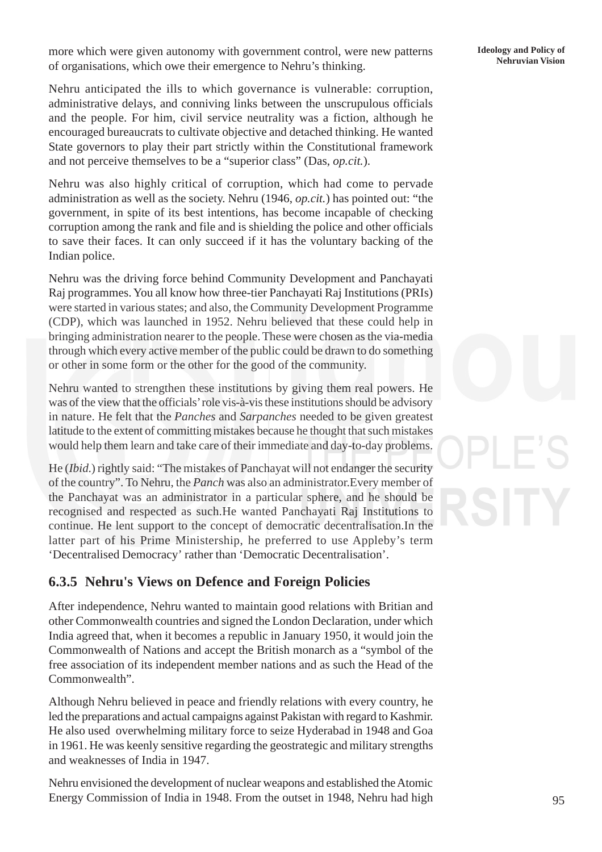more which were given autonomy with government control, were new patterns **Ideology and Policy of** concentrations which awe their amorrange to Nehru's thinking of organisations, which owe their emergence to Nehru's thinking.

Nehru anticipated the ills to which governance is vulnerable: corruption, administrative delays, and conniving links between the unscrupulous officials and the people. For him, civil service neutrality was a fiction, although he encouraged bureaucrats to cultivate objective and detached thinking. He wanted State governors to play their part strictly within the Constitutional framework and not perceive themselves to be a "superior class" (Das, *op.cit.*).

Nehru was also highly critical of corruption, which had come to pervade administration as well as the society. Nehru (1946, *op.cit.*) has pointed out: "the government, in spite of its best intentions, has become incapable of checking corruption among the rank and file and is shielding the police and other officials to save their faces. It can only succeed if it has the voluntary backing of the Indian police.

Nehru was the driving force behind Community Development and Panchayati Raj programmes. You all know how three-tier Panchayati Raj Institutions (PRIs) were started in various states; and also, the Community Development Programme (CDP), which was launched in 1952. Nehru believed that these could help in bringing administration nearer to the people. These were chosen as the via-media through which every active member of the public could be drawn to do something or other in some form or the other for the good of the community.

Nehru wanted to strengthen these institutions by giving them real powers. He was of the view that the officials' role vis-à-vis these institutions should be advisory in nature. He felt that the *Panches* and *Sarpanches* needed to be given greatest latitude to the extent of committing mistakes because he thought that such mistakes would help them learn and take care of their immediate and day-to-day problems.

He (*Ibid.*) rightly said: "The mistakes of Panchayat will not endanger the security of the country". To Nehru, the *Panch* was also an administrator.Every member of the Panchayat was an administrator in a particular sphere, and he should be recognised and respected as such.He wanted Panchayati Raj Institutions to continue. He lent support to the concept of democratic decentralisation.In the latter part of his Prime Ministership, he preferred to use Appleby's term 'Decentralised Democracy' rather than 'Democratic Decentralisation'.

### **6.3.5 Nehru's Views on Defence and Foreign Policies**

After independence, Nehru wanted to maintain good relations with Britian and other Commonwealth countries and signed the London Declaration, under which India agreed that, when it becomes a republic in January 1950, it would join the Commonwealth of Nations and accept the British monarch as a "symbol of the free association of its independent member nations and as such the Head of the Commonwealth".

Although Nehru believed in peace and friendly relations with every country, he led the preparations and actual campaigns against Pakistan with regard to Kashmir. He also used overwhelming military force to seize Hyderabad in 1948 and Goa in 1961. He was keenly sensitive regarding the geostrategic and military strengths and weaknesses of India in 1947.

Nehru envisioned the development of nuclear weapons and established the Atomic Energy Commission of India in 1948. From the outset in 1948, Nehru had high **Ideology and Policy of**

95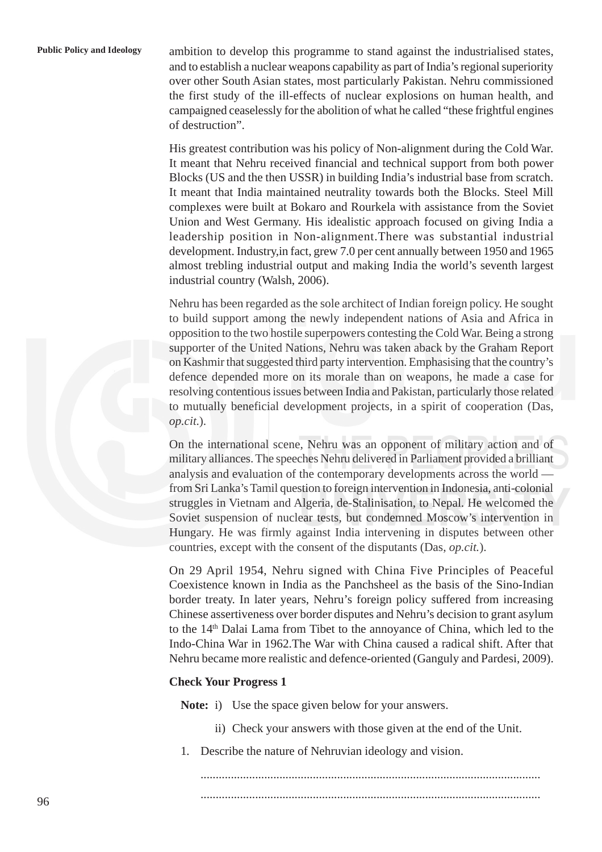Public Policy and Ideology ambition to develop this programme to stand against the industrialised states, and to establish a nuclear weapons capability as part of India's regional superiority over other South Asian states, most particularly Pakistan. Nehru commissioned the first study of the ill-effects of nuclear explosions on human health, and campaigned ceaselessly for the abolition of what he called "these frightful engines of destruction".

> His greatest contribution was his policy of Non-alignment during the Cold War. It meant that Nehru received financial and technical support from both power Blocks (US and the then USSR) in building India's industrial base from scratch. It meant that India maintained neutrality towards both the Blocks. Steel Mill complexes were built at Bokaro and Rourkela with assistance from the Soviet Union and West Germany. His idealistic approach focused on giving India a leadership position in Non-alignment.There was substantial industrial development. Industry,in fact, grew 7.0 per cent annually between 1950 and 1965 almost trebling industrial output and making India the world's seventh largest industrial country (Walsh, 2006).

> Nehru has been regarded as the sole architect of Indian foreign policy. He sought to build support among the newly independent nations of Asia and Africa in opposition to the two hostile superpowers contesting the Cold War. Being a strong supporter of the United Nations, Nehru was taken aback by the Graham Report on Kashmir that suggested third party intervention. Emphasising that the country's defence depended more on its morale than on weapons, he made a case for resolving contentious issues between India and Pakistan, particularly those related to mutually beneficial development projects, in a spirit of cooperation (Das, *op.cit.*).

> On the international scene, Nehru was an opponent of military action and of military alliances. The speeches Nehru delivered in Parliament provided a brilliant analysis and evaluation of the contemporary developments across the world from Sri Lanka's Tamil question to foreign intervention in Indonesia, anti-colonial struggles in Vietnam and Algeria, de-Stalinisation, to Nepal. He welcomed the Soviet suspension of nuclear tests, but condemned Moscow's intervention in Hungary. He was firmly against India intervening in disputes between other countries, except with the consent of the disputants (Das, *op.cit.*).

> On 29 April 1954, Nehru signed with China Five Principles of Peaceful Coexistence known in India as the Panchsheel as the basis of the Sino-Indian border treaty. In later years, Nehru's foreign policy suffered from increasing Chinese assertiveness over border disputes and Nehru's decision to grant asylum to the 14th Dalai Lama from Tibet to the annoyance of China, which led to the Indo-China War in 1962.The War with China caused a radical shift. After that Nehru became more realistic and defence-oriented (Ganguly and Pardesi, 2009).

#### **Check Your Progress 1**

**Note:** i) Use the space given below for your answers.

- ii) Check your answers with those given at the end of the Unit.
- 1. Describe the nature of Nehruvian ideology and vision.

................................................................................................................ ................................................................................................................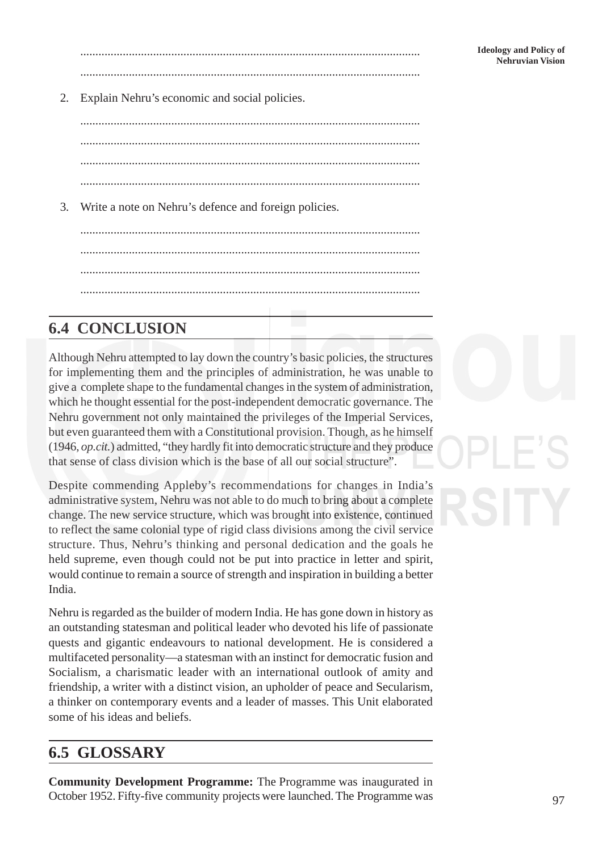Ideology and Policy of<br>Ideology and Policy of منابعة المستقدمات المستقدمات المستقدمات المستقدمات المستقدمات المستقدمات المستقدمات المس<br>Nehruvian Vision ................................................................................................................

2. Explain Nehru's economic and social policies.

................................................................................................................ ................................................................................................................ ................................................................................................................ ................................................................................................................

3. Write a note on Nehru's defence and foreign policies.

................................................................................................................ ................................................................................................................ ................................................................................................................ ................................................................................................................

# **6.4 CONCLUSION**

Although Nehru attempted to lay down the country's basic policies, the structures for implementing them and the principles of administration, he was unable to give a complete shape to the fundamental changes in the system of administration, which he thought essential for the post-independent democratic governance. The Nehru government not only maintained the privileges of the Imperial Services, but even guaranteed them with a Constitutional provision. Though, as he himself (1946, *op.cit.*) admitted, "they hardly fit into democratic structure and they produce that sense of class division which is the base of all our social structure".

Despite commending Appleby's recommendations for changes in India's administrative system, Nehru was not able to do much to bring about a complete change. The new service structure, which was brought into existence, continued to reflect the same colonial type of rigid class divisions among the civil service structure. Thus, Nehru's thinking and personal dedication and the goals he held supreme, even though could not be put into practice in letter and spirit, would continue to remain a source of strength and inspiration in building a better India.

Nehru is regarded as the builder of modern India. He has gone down in history as an outstanding statesman and political leader who devoted his life of passionate quests and gigantic endeavours to national development. He is considered a multifaceted personality—a statesman with an instinct for democratic fusion and Socialism, a charismatic leader with an international outlook of amity and friendship, a writer with a distinct vision, an upholder of peace and Secularism, a thinker on contemporary events and a leader of masses. This Unit elaborated some of his ideas and beliefs.

# **6.5 GLOSSARY**

**Community Development Programme:** The Programme was inaugurated in October 1952. Fifty-five community projects were launched. The Programme was

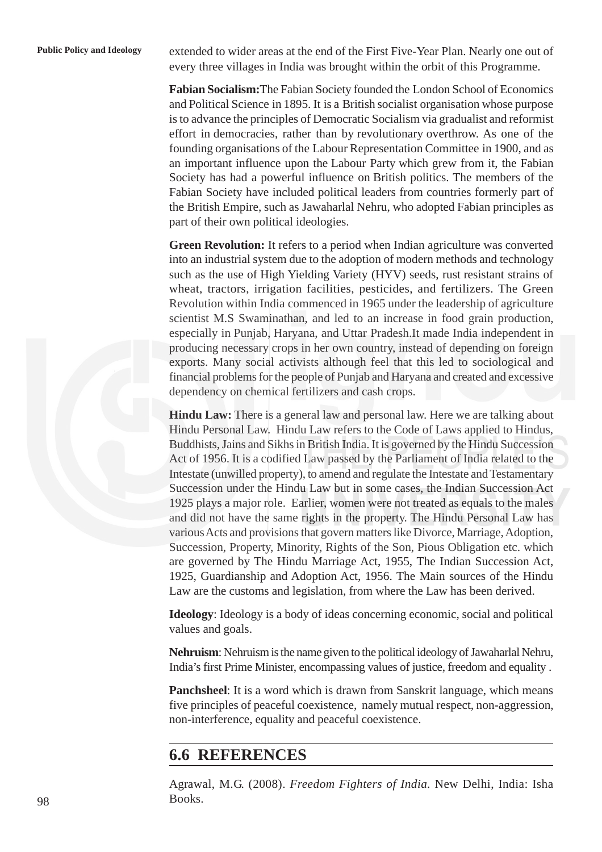**Public Policy and Ideology** extended to wider areas at the end of the First Five-Year Plan. Nearly one out of every three villages in India was brought within the orbit of this Programme.

> **Fabian Socialism:**The Fabian Society founded the London School of Economics and Political Science in 1895. It is a British socialist organisation whose purpose is to advance the principles of Democratic Socialism via gradualist and reformist effort in democracies, rather than by revolutionary overthrow. As one of the founding organisations of the Labour Representation Committee in 1900, and as an important influence upon the Labour Party which grew from it, the Fabian Society has had a powerful influence on British politics. The members of the Fabian Society have included political leaders from countries formerly part of the British Empire, such as Jawaharlal Nehru, who adopted Fabian principles as part of their own political ideologies.

> **Green Revolution:** It refers to a period when Indian agriculture was converted into an industrial system due to the adoption of modern methods and technology such as the use of High Yielding Variety (HYV) seeds, rust resistant strains of wheat, tractors, irrigation facilities, pesticides, and fertilizers. The Green Revolution within India commenced in 1965 under the leadership of agriculture scientist M.S Swaminathan, and led to an increase in food grain production, especially in Punjab, Haryana, and Uttar Pradesh.It made India independent in producing necessary crops in her own country, instead of depending on foreign exports. Many social activists although feel that this led to sociological and financial problems for the people of Punjab and Haryana and created and excessive dependency on chemical fertilizers and cash crops.

> **Hindu Law:** There is a general law and personal law. Here we are talking about Hindu Personal Law. Hindu Law refers to the Code of Laws applied to Hindus, Buddhists, Jains and Sikhs in British India. It is governed by the Hindu Succession Act of 1956. It is a codified Law passed by the Parliament of India related to the Intestate (unwilled property), to amend and regulate the Intestate and Testamentary Succession under the Hindu Law but in some cases, the Indian Succession Act 1925 plays a major role. Earlier, women were not treated as equals to the males and did not have the same rights in the property. The Hindu Personal Law has various Acts and provisions that govern matters like Divorce, Marriage, Adoption, Succession, Property, Minority, Rights of the Son, Pious Obligation etc. which are governed by The Hindu Marriage Act, 1955, The Indian Succession Act, 1925, Guardianship and Adoption Act, 1956. The Main sources of the Hindu Law are the customs and legislation, from where the Law has been derived.

> **Ideology**: Ideology is a body of ideas concerning economic, social and political values and goals.

> **Nehruism**: Nehruism is the name given to the political ideology of Jawaharlal Nehru, India's first Prime Minister, encompassing values of justice, freedom and equality .

> **Panchsheel**: It is a word which is drawn from Sanskrit language, which means five principles of peaceful coexistence, namely mutual respect, non-aggression, non-interference, equality and peaceful coexistence.

## **6.6 REFERENCES**

Agrawal, M.G. (2008). *Freedom Fighters of India.* New Delhi, India: Isha Books.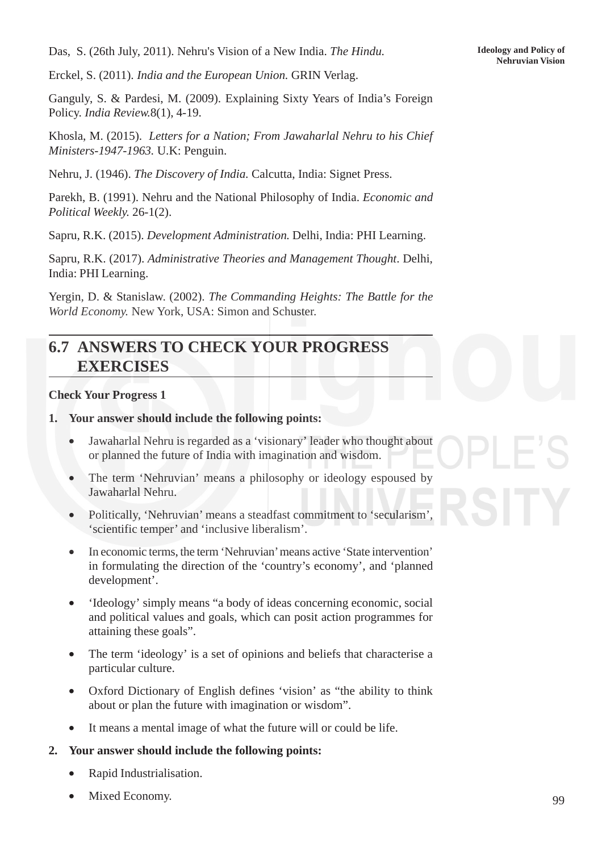**Nehruvian Vision** Das, S. (26th July, 2011). Nehru's Vision of a New India. *The Hindu.*

Erckel, S. (2011). *India and the European Union.* GRIN Verlag.

Ganguly, S. & Pardesi, M. (2009). Explaining Sixty Years of India's Foreign Policy. *India Review.*8(1), 4-19.

Khosla, M. (2015). *Letters for a Nation; From Jawaharlal Nehru to his Chief Ministers-1947-1963.* U.K: Penguin.

Nehru, J. (1946). *The Discovery of India.* Calcutta, India: Signet Press.

Parekh, B. (1991). Nehru and the National Philosophy of India. *Economic and Political Weekly.* 26-1(2).

Sapru, R.K. (2015). *Development Administration.* Delhi, India: PHI Learning.

Sapru, R.K. (2017). *Administrative Theories and Management Thought*. Delhi, India: PHI Learning.

Yergin, D. & Stanislaw. (2002). *The Commanding Heights: The Battle for the World Economy.* New York, USA: Simon and Schuster.

## **6.7 ANSWERS TO CHECK YOUR PROGRESS EXERCISES**

#### **Check Your Progress 1**

#### **1. Your answer should include the following points:**

- Jawaharlal Nehru is regarded as a 'visionary' leader who thought about or planned the future of India with imagination and wisdom.
- The term 'Nehruvian' means a philosophy or ideology espoused by Jawaharlal Nehru.
- Politically, 'Nehruvian' means a steadfast commitment to 'secularism', 'scientific temper' and 'inclusive liberalism'.
- In economic terms, the term 'Nehruvian' means active 'State intervention' in formulating the direction of the 'country's economy', and 'planned development'.
- 'Ideology' simply means "a body of ideas concerning economic, social and political values and goals, which can posit action programmes for attaining these goals".
- The term 'ideology' is a set of opinions and beliefs that characterise a particular culture.
- Oxford Dictionary of English defines 'vision' as "the ability to think about or plan the future with imagination or wisdom".
- It means a mental image of what the future will or could be life.

#### **2. Your answer should include the following points:**

- Rapid Industrialisation.
- Mixed Economy.